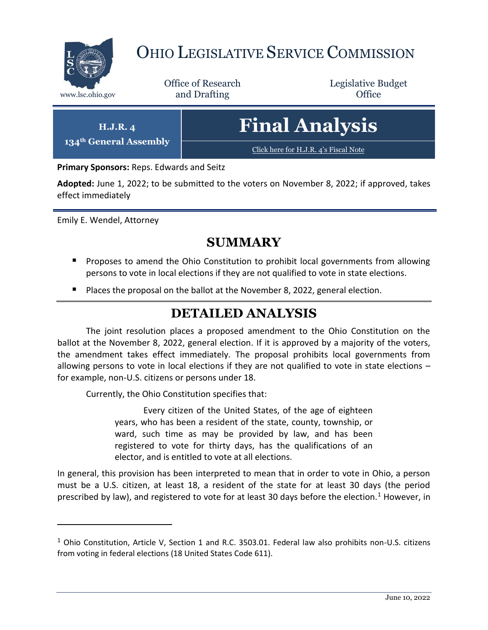

# OHIO LEGISLATIVE SERVICE COMMISSION

Office of Research www.lsc.ohio.gov **and Drafting Office** 

Legislative Budget

| $H.J.R. \mathcal{A}$<br>134 <sup>th</sup> General Assembly | <b>Final Analysis</b>                 |
|------------------------------------------------------------|---------------------------------------|
|                                                            | Click here for H.J.R. 4's Fiscal Note |

**Primary Sponsors:** Reps. Edwards and Seitz

**Adopted:** June 1, 2022; to be submitted to the voters on November 8, 2022; if approved, takes effect immediately

Emily E. Wendel, Attorney

 $\overline{a}$ 

### **SUMMARY**

- **Proposes to amend the Ohio Constitution to prohibit local governments from allowing** persons to vote in local elections if they are not qualified to vote in state elections.
- **P** Places the proposal on the ballot at the November 8, 2022, general election.

# **DETAILED ANALYSIS**

The joint resolution places a proposed amendment to the Ohio Constitution on the ballot at the November 8, 2022, general election. If it is approved by a majority of the voters, the amendment takes effect immediately. The proposal prohibits local governments from allowing persons to vote in local elections if they are not qualified to vote in state elections – for example, non-U.S. citizens or persons under 18.

Currently, the Ohio Constitution specifies that:

Every citizen of the United States, of the age of eighteen years, who has been a resident of the state, county, township, or ward, such time as may be provided by law, and has been registered to vote for thirty days, has the qualifications of an elector, and is entitled to vote at all elections.

In general, this provision has been interpreted to mean that in order to vote in Ohio, a person must be a U.S. citizen, at least 18, a resident of the state for at least 30 days (the period prescribed by law), and registered to vote for at least 30 days before the election.<sup>1</sup> However, in

 $1$  Ohio Constitution, Article V, Section 1 and R.C. 3503.01. Federal law also prohibits non-U.S. citizens from voting in federal elections (18 United States Code 611).